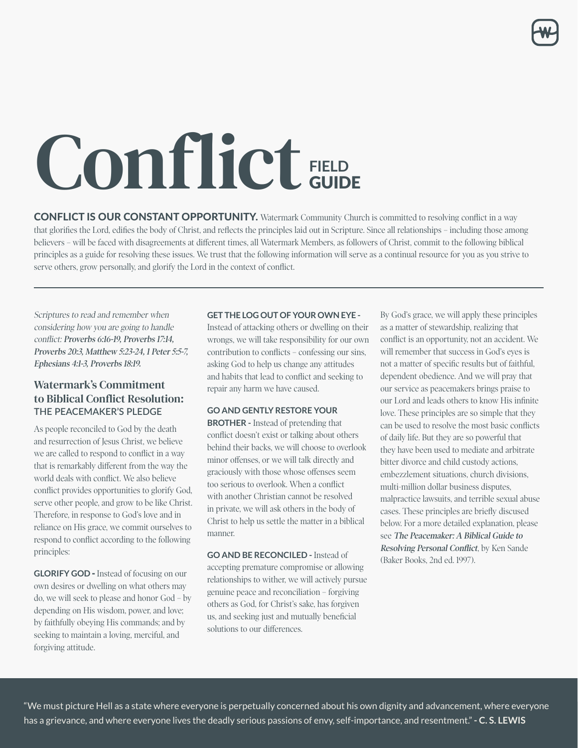# Conflict FIELD GUIDE

**serve others, grow personally, and glorify the Lord in the context of conflict.**

**CONFLICT IS OUR CONSTANT OPPORTUNITY.** Watermark Community Church is committed to resolving conflict in a way that glorifies the Lord, edifies the body of Christ, and reflects the principles laid out in Scripture. Since all relationships - including those among believers - will be faced with disagreements at different times, all Watermark Members, as followers of Christ, commit to the following biblical principles as a guide for resolving these issues. We trust that the following information will serve as a continual resource for you as you strive to serve others, grow personally, and glorify the Lord in the context of conflict.

Scriptures to read and remember when considering how you are going to handle conflict: **Proverbs 6:16-19, Proverbs 17:14, Proverbs 20:3, Matthew 5:23-24, 1 Peter 5:5-7, Ephesians 4:1-3, Proverbs 18:19.**

# Watermark's Commitment to Biblical Conflict Resolution: **THE PEACEMAKER'S PLEDGE**

As people reconciled to God by the death and resurrection of Jesus Christ, we believe we are called to respond to conflict in a way that is remarkably different from the way the world deals with conflict. We also believe conflict provides opportunities to glorify God, serve other people, and grow to be like Christ. Therefore, in response to God's love and in reliance on His grace, we commit ourselves to respond to conflict according to the following principles:

**GLORIFY GOD -** Instead of focusing on our own desires or dwelling on what others may do, we will seek to please and honor God – by depending on His wisdom, power, and love; by faithfully obeying His commands; and by seeking to maintain a loving, merciful, and forgiving attitude.

#### **GET THE LOG OUT OF YOUR OWN EYE -**

Instead of attacking others or dwelling on their wrongs, we will take responsibility for our own contribution to conflicts – confessing our sins, asking God to help us change any attitudes and habits that lead to conflict and seeking to repair any harm we have caused.

#### **GO AND GENTLY RESTORE YOUR**

**BROTHER -** Instead of pretending that conflict doesn't exist or talking about others behind their backs, we will choose to overlook minor offenses, or we will talk directly and graciously with those whose offenses seem too serious to overlook. When a conflict with another Christian cannot be resolved in private, we will ask others in the body of Christ to help us settle the matter in a biblical manner.

**GO AND BE RECONCILED -** Instead of accepting premature compromise or allowing relationships to wither, we will actively pursue genuine peace and reconciliation – forgiving others as God, for Christ's sake, has forgiven us, and seeking just and mutually beneficial solutions to our differences.

By God's grace, we will apply these principles as a matter of stewardship, realizing that conflict is an opportunity, not an accident. We will remember that success in God's eyes is not a matter of specific results but of faithful, dependent obedience. And we will pray that our service as peacemakers brings praise to our Lord and leads others to know His infinite love. These principles are so simple that they can be used to resolve the most basic conflicts of daily life. But they are so powerful that they have been used to mediate and arbitrate bitter divorce and child custody actions, embezzlement situations, church divisions, multi-million dollar business disputes, malpractice lawsuits, and terrible sexual abuse cases. These principles are briefly discused below. For a more detailed explanation, please see **The Peacemaker: A Biblical Guide to Resolving Personal Conflict**, by Ken Sande (Baker Books, 2nd ed. 1997).

"We must picture Hell as a state where everyone is perpetually concerned about his own dignity and advancement, where everyone has a grievance, and where everyone lives the deadly serious passions of envy, self-importance, and resentment." **- C. S. LEWIS**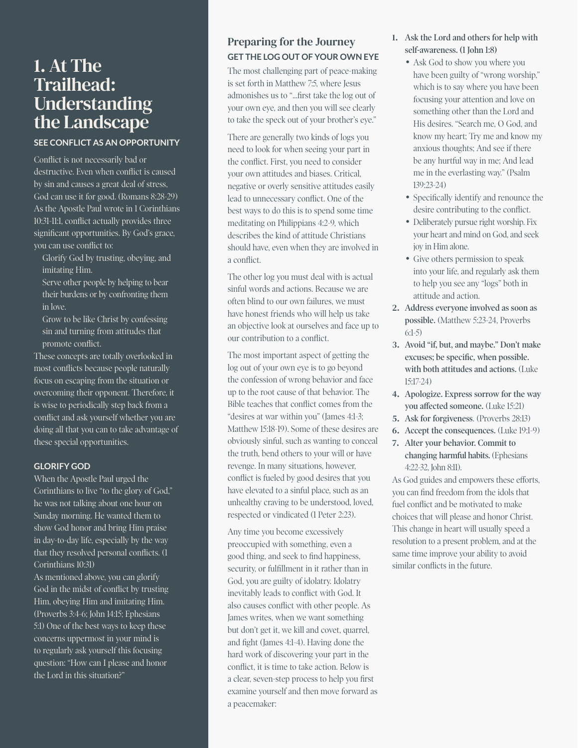# 1. At The Trailhead: Understanding the Landscape

# **SEE CONFLICT AS AN OPPORTUNITY**

Conflict is not necessarily bad or destructive. Even when conflict is caused by sin and causes a great deal of stress, God can use it for good. (Romans 8:28-29) As the Apostle Paul wrote in 1 Corinthians 10:31-11:1, conflict actually provides three significant opportunities. By God's grace, you can use conflict to:

• Glorify God by trusting, obeying, and imitating Him.

• Serve other people by helping to bear their burdens or by confronting them in love.

• Grow to be like Christ by confessing sin and turning from attitudes that promote conflict.

These concepts are totally overlooked in most conflicts because people naturally focus on escaping from the situation or overcoming their opponent. Therefore, it is wise to periodically step back from a conflict and ask yourself whether you are doing all that you can to take advantage of these special opportunities.

#### **GLORIFY GOD**

When the Apostle Paul urged the Corinthians to live "to the glory of God," he was not talking about one hour on Sunday morning. He wanted them to show God honor and bring Him praise in day-to-day life, especially by the way that they resolved personal conflicts. (1 Corinthians 10:31)

As mentioned above, you can glorify God in the midst of conflict by trusting Him, obeying Him and imitating Him. (Proverbs 3:4-6; John 14:15; Ephesians 5:1) One of the best ways to keep these concerns uppermost in your mind is to regularly ask yourself this focusing question: "How can I please and honor the Lord in this situation?"

# Preparing for the Journey **GET THE LOG OUT OF YOUR OWN EYE**

The most challenging part of peace-making is set forth in Matthew 7:5, where Jesus admonishes us to "...first take the log out of your own eye, and then you will see clearly to take the speck out of your brother's eye."

There are generally two kinds of logs you need to look for when seeing your part in the conflict. First, you need to consider your own attitudes and biases. Critical, negative or overly sensitive attitudes easily lead to unnecessary conflict. One of the best ways to do this is to spend some time meditating on Philippians 4:2-9, which describes the kind of attitude Christians should have, even when they are involved in a conflict.

The other log you must deal with is actual sinful words and actions. Because we are often blind to our own failures, we must have honest friends who will help us take an objective look at ourselves and face up to our contribution to a conflict.

The most important aspect of getting the log out of your own eye is to go beyond the confession of wrong behavior and face up to the root cause of that behavior. The Bible teaches that conflict comes from the "desires at war within you" (James 4:1-3; Matthew 15:18-19). Some of these desires are obviously sinful, such as wanting to conceal the truth, bend others to your will or have revenge. In many situations, however, conflict is fueled by good desires that you have elevated to a sinful place, such as an unhealthy craving to be understood, loved, respected or vindicated (1 Peter 2:23).

Any time you become excessively preoccupied with something, even a good thing, and seek to find happiness, security, or fulfillment in it rather than in God, you are guilty of idolatry. Idolatry inevitably leads to conflict with God. It also causes conflict with other people. As James writes, when we want something but don't get it, we kill and covet, quarrel, and fight (James 4:1-4). Having done the hard work of discovering your part in the conflict, it is time to take action. Below is a clear, seven-step process to help you first examine yourself and then move forward as a peacemaker:

- 1. **Ask the Lord and others for help with self-awareness. (1 John 1:8)**
	- Ask God to show you where you have been guilty of "wrong worship," which is to say where you have been focusing your attention and love on something other than the Lord and His desires. "Search me, O God, and know my heart; Try me and know my anxious thoughts; And see if there be any hurtful way in me; And lead me in the everlasting way." (Psalm 139:23-24)
	- Specifically identify and renounce the desire contributing to the conflict.
	- Deliberately pursue right worship. Fix your heart and mind on God, and seek joy in Him alone.
	- Give others permission to speak into your life, and regularly ask them to help you see any "logs" both in attitude and action.
- 2. **Address everyone involved as soon as possible.** (Matthew 5:23-24, Proverbs 6:1-5)
- 3. **Avoid "if, but, and maybe." Don't make excuses; be specific, when possible. with both attitudes and actions.** (Luke 15:17-24)
- 4. **Apologize. Express sorrow for the way you affected someone.** (Luke 15:21)
- 5. **Ask for forgiveness**. (Proverbs 28:13)
- 6. **Accept the consequences.** (Luke 19:1-9)
- 7. **Alter your behavior. Commit to changing harmful habits.** (Ephesians 4:22-32, John 8:11).

As God guides and empowers these efforts, you can find freedom from the idols that fuel conflict and be motivated to make choices that will please and honor Christ. This change in heart will usually speed a resolution to a present problem, and at the same time improve your ability to avoid similar conflicts in the future.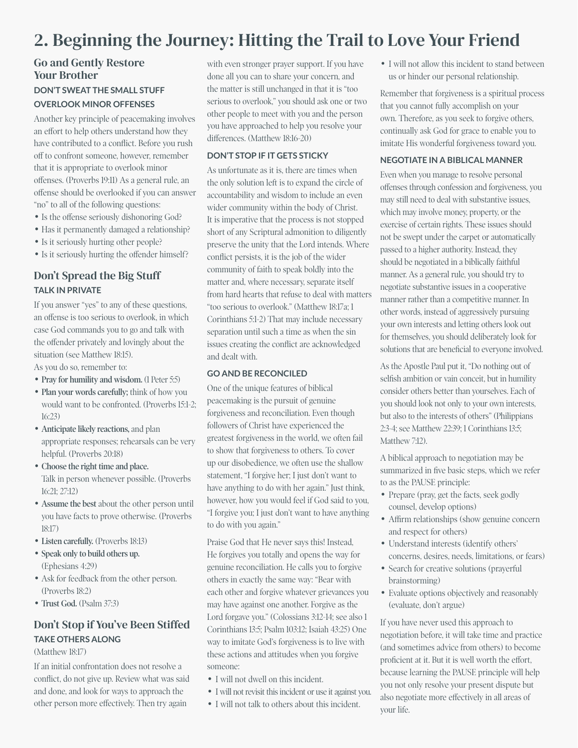# 2. Beginning the Journey: Hitting the Trail to Love Your Friend

# Go and Gently Restore Your Brother **DON'T SWEAT THE SMALL STUFF OVERLOOK MINOR OFFENSES**

Another key principle of peacemaking involves an effort to help others understand how they have contributed to a conflict. Before you rush off to confront someone, however, remember that it is appropriate to overlook minor offenses. (Proverbs 19:11) As a general rule, an offense should be overlooked if you can answer "no" to all of the following questions:

- Is the offense seriously dishonoring God?
- Has it permanently damaged a relationship?
- Is it seriously hurting other people?
- Is it seriously hurting the offender himself?

# Don't Spread the Big Stuff **TALK IN PRIVATE**

If you answer "yes" to any of these questions, an offense is too serious to overlook, in which case God commands you to go and talk with the offender privately and lovingly about the situation (see Matthew 18:15).

As you do so, remember to:

- **Pray for humility and wisdom.** (1 Peter 5:5)
- **Plan your words carefully;** think of how you would want to be confronted. (Proverbs 15:1-2; 16:23)
- **Anticipate likely reactions,** and plan appropriate responses; rehearsals can be very helpful. (Proverbs 20:18)
- **Choose the right time and place.** Talk in person whenever possible. (Proverbs 16:21; 27:12)
- **Assume the best** about the other person until you have facts to prove otherwise. (Proverbs 18:17)
- **Listen carefully.** (Proverbs 18:13)
- **Speak only to build others up.** (Ephesians 4:29)
- Ask for feedback from the other person. (Proverbs 18:2)
- **Trust God.** (Psalm 37:3)

# Don't Stop if You've Been Stiffed **TAKE OTHERS ALONG**

### (Matthew 18:17)

If an initial confrontation does not resolve a conflict, do not give up. Review what was said and done, and look for ways to approach the other person more effectively. Then try again

with even stronger prayer support. If you have done all you can to share your concern, and the matter is still unchanged in that it is "too serious to overlook," you should ask one or two other people to meet with you and the person you have approached to help you resolve your differences. (Matthew 18:16-20)

### **DON'T STOP IF IT GETS STICKY**

As unfortunate as it is, there are times when the only solution left is to expand the circle of accountability and wisdom to include an even wider community within the body of Christ. It is imperative that the process is not stopped short of any Scriptural admonition to diligently preserve the unity that the Lord intends. Where conflict persists, it is the job of the wider community of faith to speak boldly into the matter and, where necessary, separate itself from hard hearts that refuse to deal with matters "too serious to overlook." (Matthew 18:17a; 1 Corinthians 5:1-2) That may include necessary separation until such a time as when the sin issues creating the conflict are acknowledged and dealt with.

#### **GO AND BE RECONCILED**

One of the unique features of biblical peacemaking is the pursuit of genuine forgiveness and reconciliation. Even though followers of Christ have experienced the greatest forgiveness in the world, we often fail to show that forgiveness to others. To cover up our disobedience, we often use the shallow statement, "I forgive her; I just don't want to have anything to do with her again." Just think, however, how you would feel if God said to you, "I forgive you; I just don't want to have anything to do with you again."

Praise God that He never says this! Instead, He forgives you totally and opens the way for genuine reconciliation. He calls you to forgive others in exactly the same way: "Bear with each other and forgive whatever grievances you may have against one another. Forgive as the Lord forgave you." (Colossians 3:12-14; see also 1 Corinthians 13:5; Psalm 103:12; Isaiah 43:25) One way to imitate God's forgiveness is to live with these actions and attitudes when you forgive someone:

- I will not dwell on this incident.
- I will not revisit this incident or use it against you.
- I will not talk to others about this incident.

• I will not allow this incident to stand between us or hinder our personal relationship.

Remember that forgiveness is a spiritual process that you cannot fully accomplish on your own. Therefore, as you seek to forgive others, continually ask God for grace to enable you to imitate His wonderful forgiveness toward you.

#### **NEGOTIATE IN A BIBLICAL MANNER**

Even when you manage to resolve personal offenses through confession and forgiveness, you may still need to deal with substantive issues, which may involve money, property, or the exercise of certain rights. These issues should not be swept under the carpet or automatically passed to a higher authority. Instead, they should be negotiated in a biblically faithful manner. As a general rule, you should try to negotiate substantive issues in a cooperative manner rather than a competitive manner. In other words, instead of aggressively pursuing your own interests and letting others look out for themselves, you should deliberately look for solutions that are beneficial to everyone involved.

As the Apostle Paul put it, "Do nothing out of selfish ambition or vain conceit, but in humility consider others better than yourselves. Each of you should look not only to your own interests, but also to the interests of others" (Philippians 2:3-4; see Matthew 22:39; 1 Corinthians 13:5; Matthew 7:12).

A biblical approach to negotiation may be summarized in five basic steps, which we refer to as the PAUSE principle:

- Prepare (pray, get the facts, seek godly counsel, develop options)
- Affirm relationships (show genuine concern and respect for others)
- Understand interests (identify others' concerns, desires, needs, limitations, or fears)
- Search for creative solutions (prayerful brainstorming)
- Evaluate options objectively and reasonably (evaluate, don't argue)

If you have never used this approach to negotiation before, it will take time and practice (and sometimes advice from others) to become proficient at it. But it is well worth the effort, because learning the PAUSE principle will help you not only resolve your present dispute but also negotiate more effectively in all areas of your life.